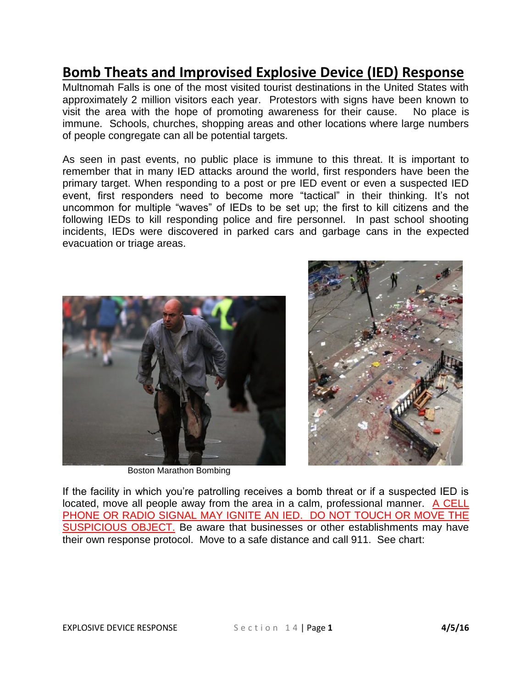## **Bomb Theats and Improvised Explosive Device (IED) Response**

Multnomah Falls is one of the most visited tourist destinations in the United States with approximately 2 million visitors each year. Protestors with signs have been known to visit the area with the hope of promoting awareness for their cause. No place is immune. Schools, churches, shopping areas and other locations where large numbers of people congregate can all be potential targets.

As seen in past events, no public place is immune to this threat. It is important to remember that in many IED attacks around the world, first responders have been the primary target. When responding to a post or pre IED event or even a suspected IED event, first responders need to become more "tactical" in their thinking. It's not uncommon for multiple "waves" of IEDs to be set up; the first to kill citizens and the following IEDs to kill responding police and fire personnel. In past school shooting incidents, IEDs were discovered in parked cars and garbage cans in the expected evacuation or triage areas.



Boston Marathon Bombing



If the facility in which you're patrolling receives a bomb threat or if a suspected IED is located, move all people away from the area in a calm, professional manner. A CELL PHONE OR RADIO SIGNAL MAY IGNITE AN IED. DO NOT TOUCH OR MOVE THE SUSPICIOUS OBJECT. Be aware that businesses or other establishments may have their own response protocol. Move to a safe distance and call 911. See chart: